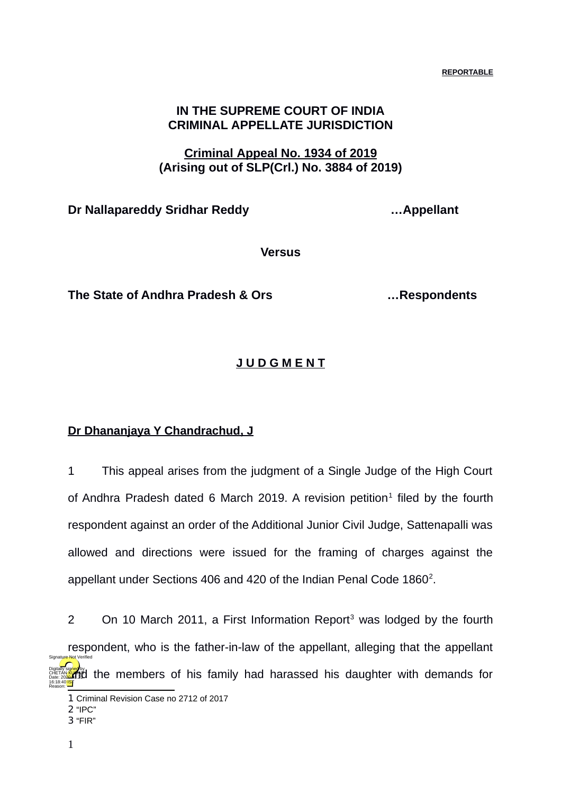**REPORTABLE**

## **IN THE SUPREME COURT OF INDIA CRIMINAL APPELLATE JURISDICTION**

## **Criminal Appeal No. 1934 of 2019 (Arising out of SLP(Crl.) No. 3884 of 2019)**

**Dr Nallapareddy Sridhar Reddy …Appellant**

**Versus**

**The State of Andhra Pradesh & Ors …Respondents**

## **J U D G M E N T**

## **Dr Dhananjaya Y Chandrachud, J**

1 This appeal arises from the judgment of a Single Judge of the High Court of Andhra Pradesh dated 6 March 20[1](#page-0-0)9. A revision petition<sup>1</sup> filed by the fourth respondent against an order of the Additional Junior Civil Judge, Sattenapalli was allowed and directions were issued for the framing of charges against the appellant under Sections 406 and 4[2](#page-0-1)0 of the Indian Penal Code  $1860^2$ .

2 On 10 March 2011, a First Information Report<sup>[3](#page-0-2)</sup> was lodged by the fourth respondent, who is the father-in-law of the appellant, alleging that the appellant Descriptions and the members of his family had harassed his daughter with demands for 16:18:40<sup>1ST</sup> Reason: Signature Not Verified

<span id="page-0-0"></span><sup>1</sup> Criminal Revision Case no 2712 of 2017

<span id="page-0-1"></span><sup>2</sup> "IPC"

<span id="page-0-2"></span><sup>3</sup> "FIR"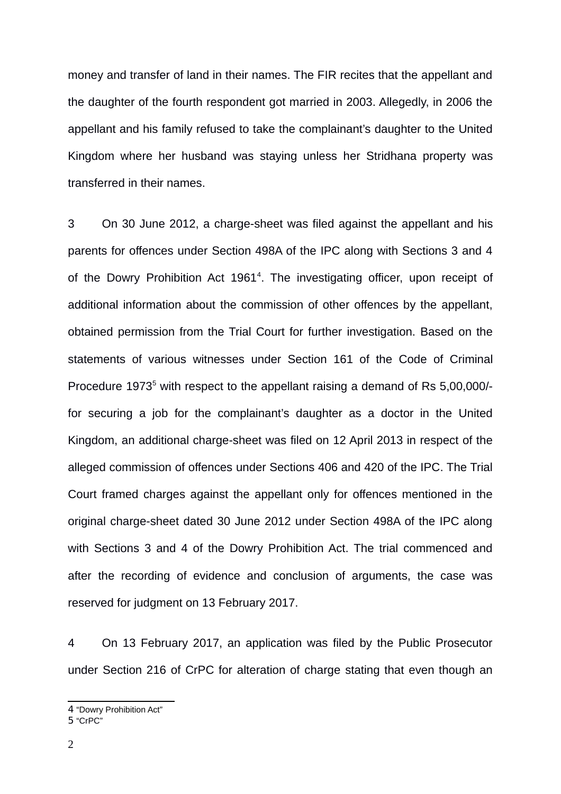money and transfer of land in their names. The FIR recites that the appellant and the daughter of the fourth respondent got married in 2003. Allegedly, in 2006 the appellant and his family refused to take the complainant's daughter to the United Kingdom where her husband was staying unless her Stridhana property was transferred in their names.

3 On 30 June 2012, a charge-sheet was filed against the appellant and his parents for offences under Section 498A of the IPC along with Sections 3 and 4 of the Dowry Prohibition Act  $1961<sup>4</sup>$  $1961<sup>4</sup>$  $1961<sup>4</sup>$ . The investigating officer, upon receipt of additional information about the commission of other offences by the appellant, obtained permission from the Trial Court for further investigation. Based on the statements of various witnesses under Section 161 of the Code of Criminal Procedure 1973<sup>[5](#page-1-1)</sup> with respect to the appellant raising a demand of Rs 5,00,000/for securing a job for the complainant's daughter as a doctor in the United Kingdom, an additional charge-sheet was filed on 12 April 2013 in respect of the alleged commission of offences under Sections 406 and 420 of the IPC. The Trial Court framed charges against the appellant only for offences mentioned in the original charge-sheet dated 30 June 2012 under Section 498A of the IPC along with Sections 3 and 4 of the Dowry Prohibition Act. The trial commenced and after the recording of evidence and conclusion of arguments, the case was reserved for judgment on 13 February 2017.

4 On 13 February 2017, an application was filed by the Public Prosecutor under Section 216 of CrPC for alteration of charge stating that even though an

<span id="page-1-1"></span>5 "CrPC"

<span id="page-1-0"></span><sup>4</sup> "Dowry Prohibition Act"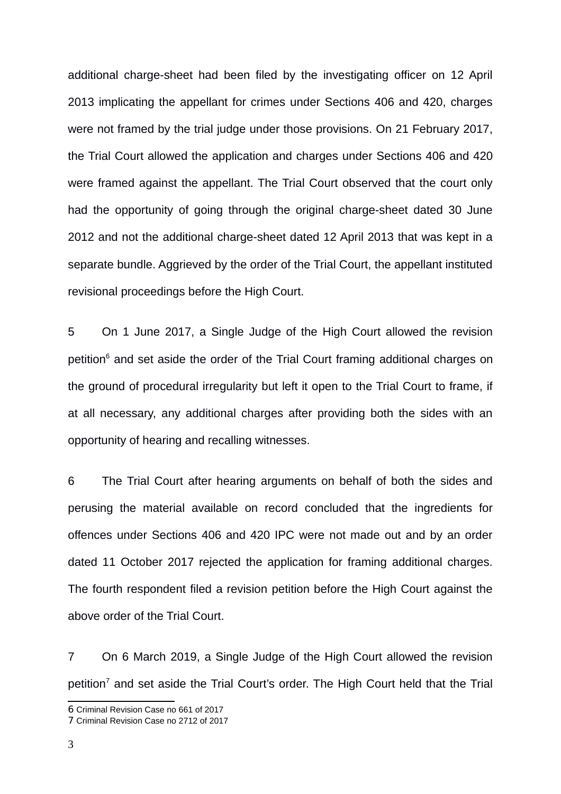additional charge-sheet had been filed by the investigating officer on 12 April 2013 implicating the appellant for crimes under Sections 406 and 420, charges were not framed by the trial judge under those provisions. On 21 February 2017, the Trial Court allowed the application and charges under Sections 406 and 420 were framed against the appellant. The Trial Court observed that the court only had the opportunity of going through the original charge-sheet dated 30 June 2012 and not the additional charge-sheet dated 12 April 2013 that was kept in a separate bundle. Aggrieved by the order of the Trial Court, the appellant instituted revisional proceedings before the High Court.

5 On 1 June 2017, a Single Judge of the High Court allowed the revision petition<sup>[6](#page-2-0)</sup> and set aside the order of the Trial Court framing additional charges on the ground of procedural irregularity but left it open to the Trial Court to frame, if at all necessary, any additional charges after providing both the sides with an opportunity of hearing and recalling witnesses.

6 The Trial Court after hearing arguments on behalf of both the sides and perusing the material available on record concluded that the ingredients for offences under Sections 406 and 420 IPC were not made out and by an order dated 11 October 2017 rejected the application for framing additional charges. The fourth respondent filed a revision petition before the High Court against the above order of the Trial Court.

7 On 6 March 2019, a Single Judge of the High Court allowed the revision petition<sup>[7](#page-2-1)</sup> and set aside the Trial Court's order. The High Court held that the Trial

<span id="page-2-0"></span><sup>6</sup> Criminal Revision Case no 661 of 2017

<span id="page-2-1"></span><sup>7</sup> Criminal Revision Case no 2712 of 2017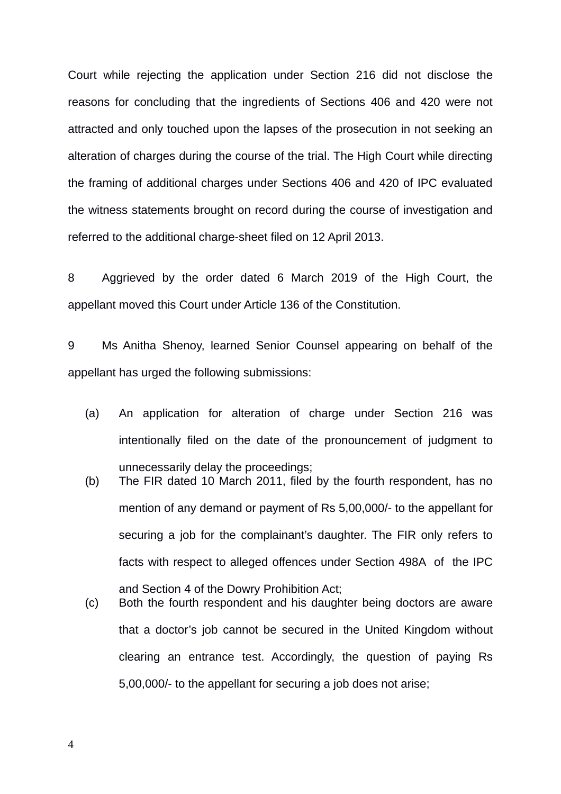Court while rejecting the application under Section 216 did not disclose the reasons for concluding that the ingredients of Sections 406 and 420 were not attracted and only touched upon the lapses of the prosecution in not seeking an alteration of charges during the course of the trial. The High Court while directing the framing of additional charges under Sections 406 and 420 of IPC evaluated the witness statements brought on record during the course of investigation and referred to the additional charge-sheet filed on 12 April 2013.

8 Aggrieved by the order dated 6 March 2019 of the High Court, the appellant moved this Court under Article 136 of the Constitution.

9 Ms Anitha Shenoy, learned Senior Counsel appearing on behalf of the appellant has urged the following submissions:

- (a) An application for alteration of charge under Section 216 was intentionally filed on the date of the pronouncement of judgment to unnecessarily delay the proceedings;
- (b) The FIR dated 10 March 2011, filed by the fourth respondent, has no mention of any demand or payment of Rs 5,00,000/- to the appellant for securing a job for the complainant's daughter. The FIR only refers to facts with respect to alleged offences under Section 498A of the IPC and Section 4 of the Dowry Prohibition Act;
- (c) Both the fourth respondent and his daughter being doctors are aware that a doctor's job cannot be secured in the United Kingdom without clearing an entrance test. Accordingly, the question of paying Rs 5,00,000/- to the appellant for securing a job does not arise;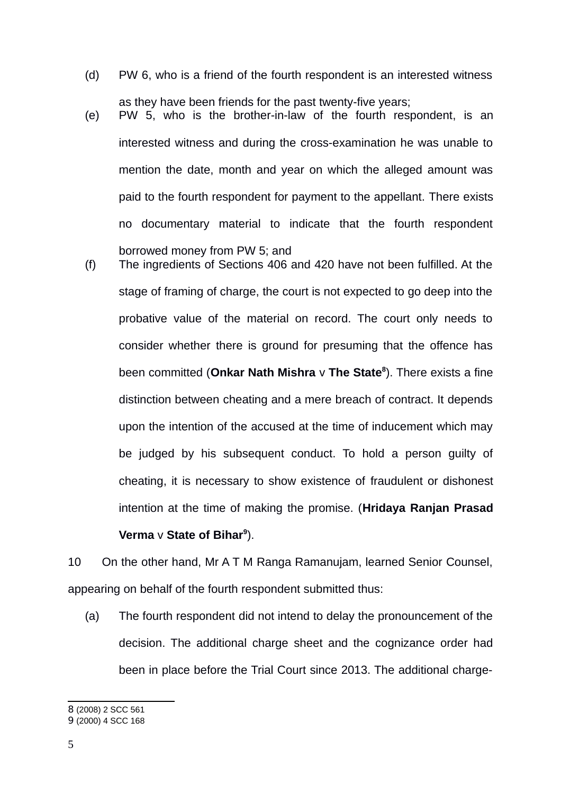- (d) PW 6, who is a friend of the fourth respondent is an interested witness
- as they have been friends for the past twenty-five years; (e) PW 5, who is the brother-in-law of the fourth respondent, is an interested witness and during the cross-examination he was unable to mention the date, month and year on which the alleged amount was paid to the fourth respondent for payment to the appellant. There exists no documentary material to indicate that the fourth respondent borrowed money from PW 5; and
- (f) The ingredients of Sections 406 and 420 have not been fulfilled. At the stage of framing of charge, the court is not expected to go deep into the probative value of the material on record. The court only needs to consider whether there is ground for presuming that the offence has been committed (**Onkar Nath Mishra** v **The State[8](#page-4-0)** ). There exists a fine distinction between cheating and a mere breach of contract. It depends upon the intention of the accused at the time of inducement which may be judged by his subsequent conduct. To hold a person guilty of cheating, it is necessary to show existence of fraudulent or dishonest intention at the time of making the promise. (**Hridaya Ranjan Prasad Verma** v **State of Bihar[9](#page-4-1)** ).

10 On the other hand, Mr A T M Ranga Ramanujam, learned Senior Counsel, appearing on behalf of the fourth respondent submitted thus:

(a) The fourth respondent did not intend to delay the pronouncement of the decision. The additional charge sheet and the cognizance order had been in place before the Trial Court since 2013. The additional charge-

<span id="page-4-0"></span><sup>8</sup> (2008) 2 SCC 561

<span id="page-4-1"></span><sup>9</sup> (2000) 4 SCC 168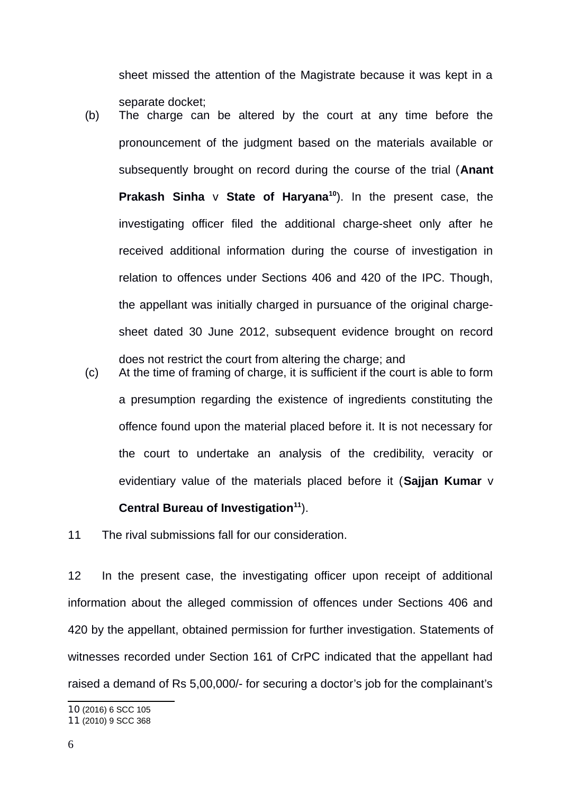sheet missed the attention of the Magistrate because it was kept in a separate docket;

- (b) The charge can be altered by the court at any time before the pronouncement of the judgment based on the materials available or subsequently brought on record during the course of the trial (**Anant Prakash Sinha** v **State of Haryana[10](#page-5-0)**). In the present case, the investigating officer filed the additional charge-sheet only after he received additional information during the course of investigation in relation to offences under Sections 406 and 420 of the IPC. Though, the appellant was initially charged in pursuance of the original chargesheet dated 30 June 2012, subsequent evidence brought on record does not restrict the court from altering the charge; and
- (c) At the time of framing of charge, it is sufficient if the court is able to form a presumption regarding the existence of ingredients constituting the offence found upon the material placed before it. It is not necessary for the court to undertake an analysis of the credibility, veracity or evidentiary value of the materials placed before it (**Sajjan Kumar** v **Central Bureau of Investigation[11](#page-5-1)**).

11 The rival submissions fall for our consideration.

12 In the present case, the investigating officer upon receipt of additional information about the alleged commission of offences under Sections 406 and 420 by the appellant, obtained permission for further investigation. Statements of witnesses recorded under Section 161 of CrPC indicated that the appellant had raised a demand of Rs 5,00,000/- for securing a doctor's job for the complainant's

<span id="page-5-0"></span>10 (2016) 6 SCC 105

<span id="page-5-1"></span><sup>11</sup> (2010) 9 SCC 368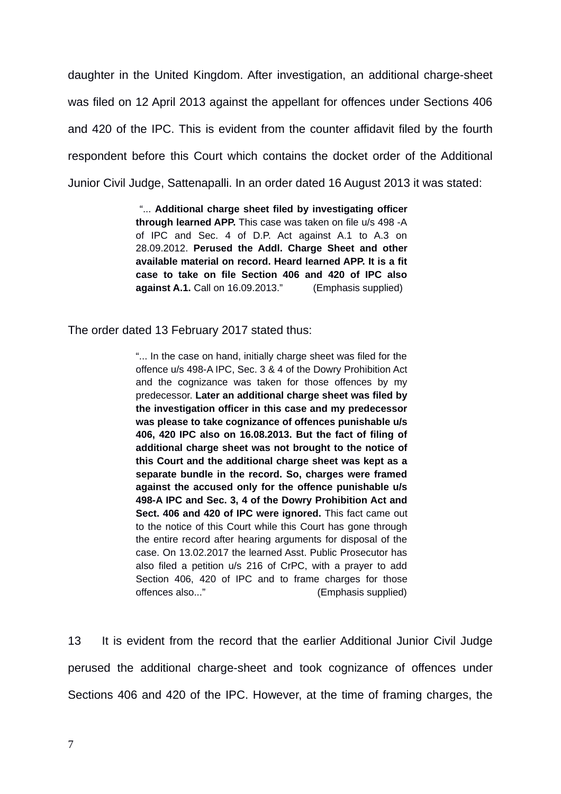daughter in the United Kingdom. After investigation, an additional charge-sheet was filed on 12 April 2013 against the appellant for offences under Sections 406 and 420 of the IPC. This is evident from the counter affidavit filed by the fourth respondent before this Court which contains the docket order of the Additional Junior Civil Judge, Sattenapalli. In an order dated 16 August 2013 it was stated:

> "... **Additional charge sheet filed by investigating officer through learned APP.** This case was taken on file u/s 498 -A of IPC and Sec. 4 of D.P. Act against A.1 to A.3 on 28.09.2012. **Perused the Addl. Charge Sheet and other available material on record. Heard learned APP. It is a fit case to take on file Section 406 and 420 of IPC also against A.1.** Call on 16.09.2013." (Emphasis supplied)

The order dated 13 February 2017 stated thus:

"... In the case on hand, initially charge sheet was filed for the offence u/s 498-A IPC, Sec. 3 & 4 of the Dowry Prohibition Act and the cognizance was taken for those offences by my predecessor. **Later an additional charge sheet was filed by the investigation officer in this case and my predecessor was please to take cognizance of offences punishable u/s 406, 420 IPC also on 16.08.2013. But the fact of filing of additional charge sheet was not brought to the notice of this Court and the additional charge sheet was kept as a separate bundle in the record. So, charges were framed against the accused only for the offence punishable u/s 498-A IPC and Sec. 3, 4 of the Dowry Prohibition Act and Sect. 406 and 420 of IPC were ignored.** This fact came out to the notice of this Court while this Court has gone through the entire record after hearing arguments for disposal of the case. On 13.02.2017 the learned Asst. Public Prosecutor has also filed a petition u/s 216 of CrPC, with a prayer to add Section 406, 420 of IPC and to frame charges for those offences also..." (Emphasis supplied)

13 It is evident from the record that the earlier Additional Junior Civil Judge perused the additional charge-sheet and took cognizance of offences under Sections 406 and 420 of the IPC. However, at the time of framing charges, the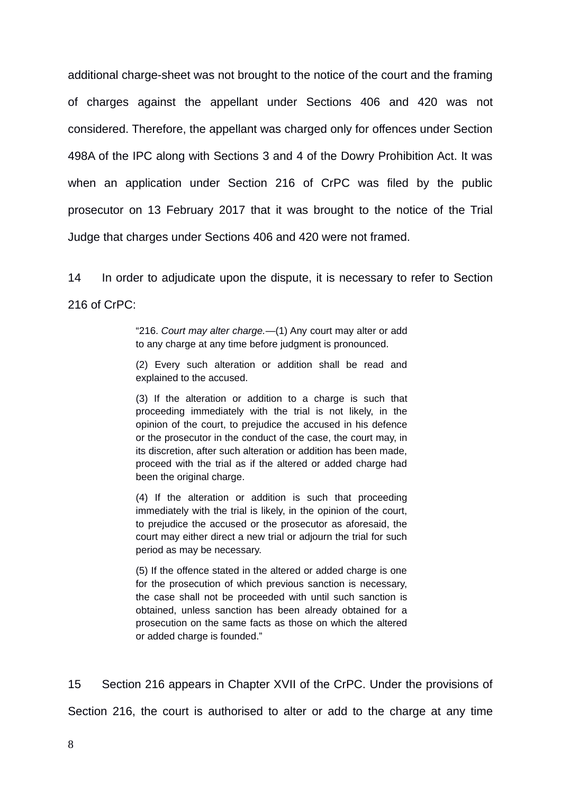additional charge-sheet was not brought to the notice of the court and the framing of charges against the appellant under Sections 406 and 420 was not considered. Therefore, the appellant was charged only for offences under Section 498A of the IPC along with Sections 3 and 4 of the Dowry Prohibition Act. It was when an application under Section 216 of CrPC was filed by the public prosecutor on 13 February 2017 that it was brought to the notice of the Trial Judge that charges under Sections 406 and 420 were not framed.

14 In order to adjudicate upon the dispute, it is necessary to refer to Section 216 of CrPC:

> "216. *Court may alter charge.*—(1) Any court may alter or add to any charge at any time before judgment is pronounced.

> (2) Every such alteration or addition shall be read and explained to the accused.

> (3) If the alteration or addition to a charge is such that proceeding immediately with the trial is not likely, in the opinion of the court, to prejudice the accused in his defence or the prosecutor in the conduct of the case, the court may, in its discretion, after such alteration or addition has been made, proceed with the trial as if the altered or added charge had been the original charge.

> (4) If the alteration or addition is such that proceeding immediately with the trial is likely, in the opinion of the court, to prejudice the accused or the prosecutor as aforesaid, the court may either direct a new trial or adjourn the trial for such period as may be necessary.

> (5) If the offence stated in the altered or added charge is one for the prosecution of which previous sanction is necessary, the case shall not be proceeded with until such sanction is obtained, unless sanction has been already obtained for a prosecution on the same facts as those on which the altered or added charge is founded."

15 Section 216 appears in Chapter XVII of the CrPC. Under the provisions of Section 216, the court is authorised to alter or add to the charge at any time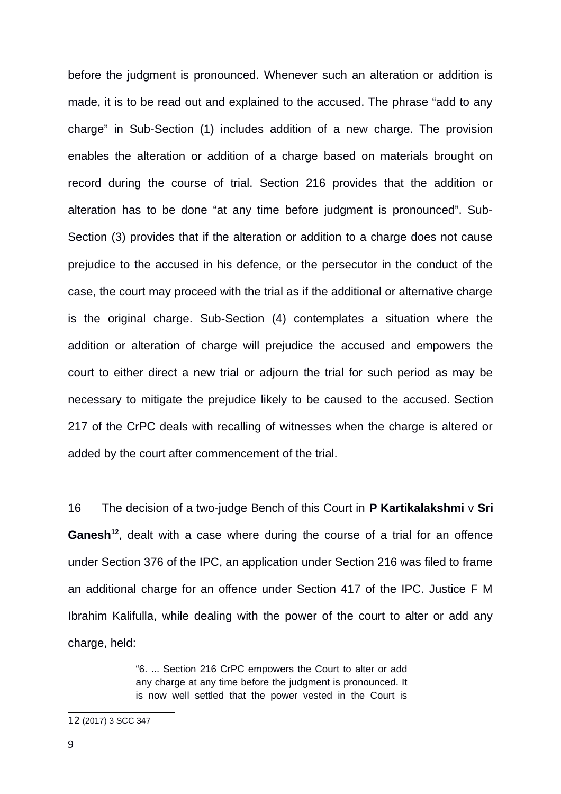before the judgment is pronounced. Whenever such an alteration or addition is made, it is to be read out and explained to the accused. The phrase "add to any charge" in Sub-Section (1) includes addition of a new charge. The provision enables the alteration or addition of a charge based on materials brought on record during the course of trial. Section 216 provides that the addition or alteration has to be done "at any time before judgment is pronounced". Sub-Section (3) provides that if the alteration or addition to a charge does not cause prejudice to the accused in his defence, or the persecutor in the conduct of the case, the court may proceed with the trial as if the additional or alternative charge is the original charge. Sub-Section (4) contemplates a situation where the addition or alteration of charge will prejudice the accused and empowers the court to either direct a new trial or adjourn the trial for such period as may be necessary to mitigate the prejudice likely to be caused to the accused. Section 217 of the CrPC deals with recalling of witnesses when the charge is altered or added by the court after commencement of the trial.

16 The decision of a two-judge Bench of this Court in **P Kartikalakshmi** v **Sri Ganesh[12](#page-8-0)**, dealt with a case where during the course of a trial for an offence under Section 376 of the IPC, an application under Section 216 was filed to frame an additional charge for an offence under Section 417 of the IPC. Justice F M Ibrahim Kalifulla, while dealing with the power of the court to alter or add any charge, held:

> "6. ... Section 216 CrPC empowers the Court to alter or add any charge at any time before the judgment is pronounced. It is now well settled that the power vested in the Court is

<span id="page-8-0"></span><sup>12</sup> (2017) 3 SCC 347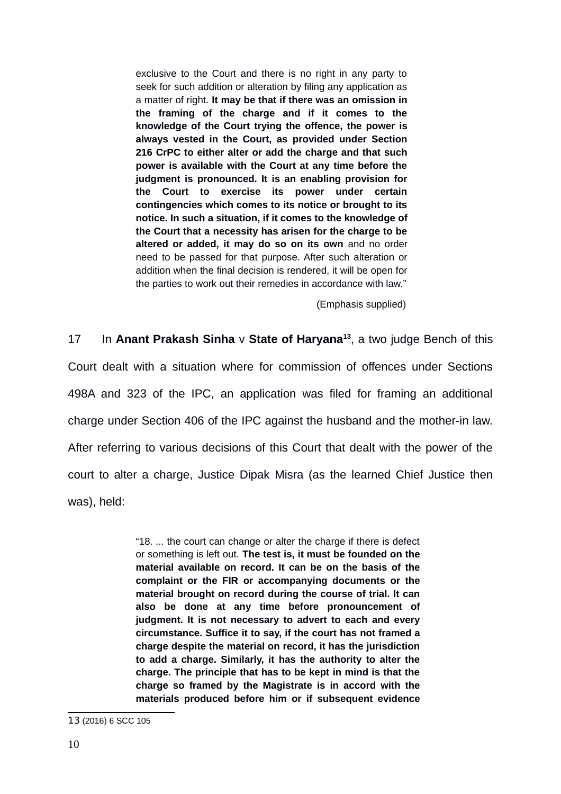exclusive to the Court and there is no right in any party to seek for such addition or alteration by filing any application as a matter of right. **It may be that if there was an omission in the framing of the charge and if it comes to the knowledge of the Court trying the offence, the power is always vested in the Court, as provided under Section 216 CrPC to either alter or add the charge and that such power is available with the Court at any time before the judgment is pronounced. It is an enabling provision for the Court to exercise its power under certain contingencies which comes to its notice or brought to its notice. In such a situation, if it comes to the knowledge of the Court that a necessity has arisen for the charge to be altered or added, it may do so on its own** and no order need to be passed for that purpose. After such alteration or addition when the final decision is rendered, it will be open for the parties to work out their remedies in accordance with law."

(Emphasis supplied)

17 In **Anant Prakash Sinha** v **State of Haryana[13](#page-9-0)**, a two judge Bench of this Court dealt with a situation where for commission of offences under Sections 498A and 323 of the IPC, an application was filed for framing an additional charge under Section 406 of the IPC against the husband and the mother-in law. After referring to various decisions of this Court that dealt with the power of the court to alter a charge, Justice Dipak Misra (as the learned Chief Justice then was), held:

> "18. ... the court can change or alter the charge if there is defect or something is left out. **The test is, it must be founded on the material available on record. It can be on the basis of the complaint or the FIR or accompanying documents or the material brought on record during the course of trial. It can also be done at any time before pronouncement of judgment. It is not necessary to advert to each and every circumstance. Suffice it to say, if the court has not framed a charge despite the material on record, it has the jurisdiction to add a charge. Similarly, it has the authority to alter the charge. The principle that has to be kept in mind is that the charge so framed by the Magistrate is in accord with the materials produced before him or if subsequent evidence**

<span id="page-9-0"></span><sup>13</sup> (2016) 6 SCC 105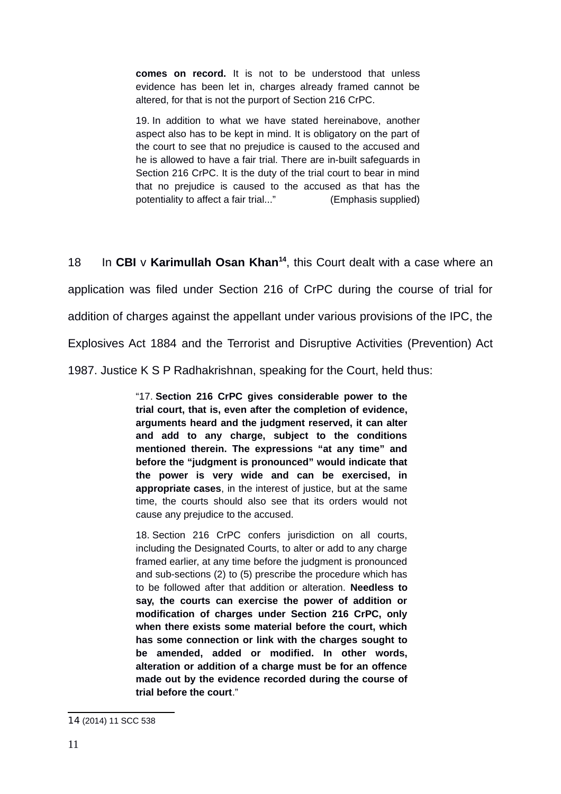**comes on record.** It is not to be understood that unless evidence has been let in, charges already framed cannot be altered, for that is not the purport of Section 216 CrPC.

19. In addition to what we have stated hereinabove, another aspect also has to be kept in mind. It is obligatory on the part of the court to see that no prejudice is caused to the accused and he is allowed to have a fair trial. There are in-built safeguards in Section 216 CrPC. It is the duty of the trial court to bear in mind that no prejudice is caused to the accused as that has the potentiality to affect a fair trial..." (Emphasis supplied)

18 In **CBI** v **Karimullah Osan Khan[14](#page-10-0)** , this Court dealt with a case where an application was filed under Section 216 of CrPC during the course of trial for addition of charges against the appellant under various provisions of the IPC, the Explosives Act 1884 and the Terrorist and Disruptive Activities (Prevention) Act 1987. Justice K S P Radhakrishnan, speaking for the Court, held thus:

> "17. **Section 216 CrPC gives considerable power to the trial court, that is, even after the completion of evidence, arguments heard and the judgment reserved, it can alter and add to any charge, subject to the conditions mentioned therein. The expressions "at any time" and before the "judgment is pronounced" would indicate that the power is very wide and can be exercised, in appropriate cases**, in the interest of justice, but at the same time, the courts should also see that its orders would not cause any prejudice to the accused.

> 18. Section 216 CrPC confers jurisdiction on all courts, including the Designated Courts, to alter or add to any charge framed earlier, at any time before the judgment is pronounced and sub-sections (2) to (5) prescribe the procedure which has to be followed after that addition or alteration. **Needless to say, the courts can exercise the power of addition or modification of charges under Section 216 CrPC, only when there exists some material before the court, which has some connection or link with the charges sought to be amended, added or modified. In other words, alteration or addition of a charge must be for an offence made out by the evidence recorded during the course of trial before the court**."

<span id="page-10-0"></span><sup>14</sup> (2014) 11 SCC 538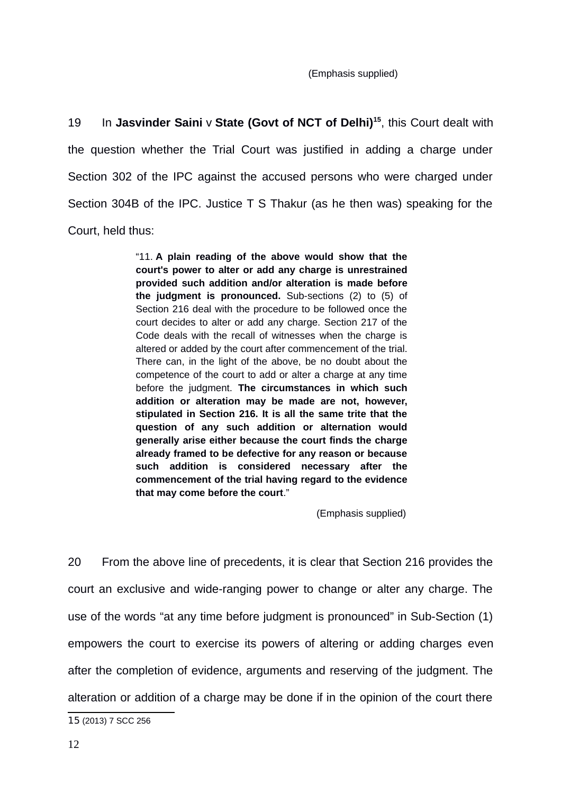(Emphasis supplied)

19 In **Jasvinder Saini** v **State (Govt of NCT of Delhi)[15](#page-11-0)**, this Court dealt with the question whether the Trial Court was justified in adding a charge under Section 302 of the IPC against the accused persons who were charged under Section 304B of the IPC. Justice T S Thakur (as he then was) speaking for the Court, held thus:

> "11. **A plain reading of the above would show that the court's power to alter or add any charge is unrestrained provided such addition and/or alteration is made before the judgment is pronounced.** Sub-sections (2) to (5) of Section 216 deal with the procedure to be followed once the court decides to alter or add any charge. Section 217 of the Code deals with the recall of witnesses when the charge is altered or added by the court after commencement of the trial. There can, in the light of the above, be no doubt about the competence of the court to add or alter a charge at any time before the judgment. **The circumstances in which such addition or alteration may be made are not, however, stipulated in Section 216. It is all the same trite that the question of any such addition or alternation would generally arise either because the court finds the charge already framed to be defective for any reason or because such addition is considered necessary after the commencement of the trial having regard to the evidence that may come before the court**."

> > (Emphasis supplied)

20 From the above line of precedents, it is clear that Section 216 provides the court an exclusive and wide-ranging power to change or alter any charge. The use of the words "at any time before judgment is pronounced" in Sub-Section (1) empowers the court to exercise its powers of altering or adding charges even after the completion of evidence, arguments and reserving of the judgment. The alteration or addition of a charge may be done if in the opinion of the court there

<span id="page-11-0"></span><sup>15</sup> (2013) 7 SCC 256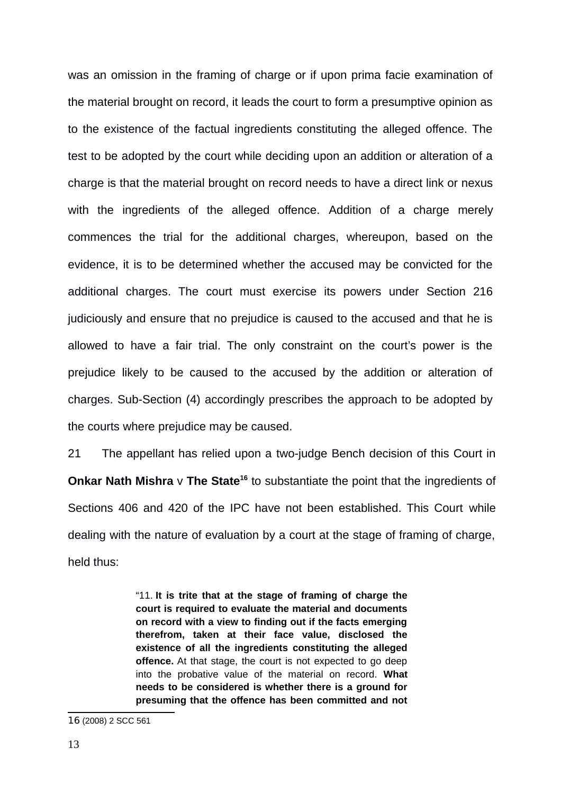was an omission in the framing of charge or if upon prima facie examination of the material brought on record, it leads the court to form a presumptive opinion as to the existence of the factual ingredients constituting the alleged offence. The test to be adopted by the court while deciding upon an addition or alteration of a charge is that the material brought on record needs to have a direct link or nexus with the ingredients of the alleged offence. Addition of a charge merely commences the trial for the additional charges, whereupon, based on the evidence, it is to be determined whether the accused may be convicted for the additional charges. The court must exercise its powers under Section 216 judiciously and ensure that no prejudice is caused to the accused and that he is allowed to have a fair trial. The only constraint on the court's power is the prejudice likely to be caused to the accused by the addition or alteration of charges. Sub-Section (4) accordingly prescribes the approach to be adopted by the courts where prejudice may be caused.

21 The appellant has relied upon a two-judge Bench decision of this Court in **Onkar Nath Mishra** v The State<sup>[16](#page-12-0)</sup> to substantiate the point that the ingredients of Sections 406 and 420 of the IPC have not been established. This Court while dealing with the nature of evaluation by a court at the stage of framing of charge, held thus:

> "11. **It is trite that at the stage of framing of charge the court is required to evaluate the material and documents on record with a view to finding out if the facts emerging therefrom, taken at their face value, disclosed the existence of all the ingredients constituting the alleged offence.** At that stage, the court is not expected to go deep into the probative value of the material on record. **What needs to be considered is whether there is a ground for presuming that the offence has been committed and not**

<span id="page-12-0"></span><sup>16</sup> (2008) 2 SCC 561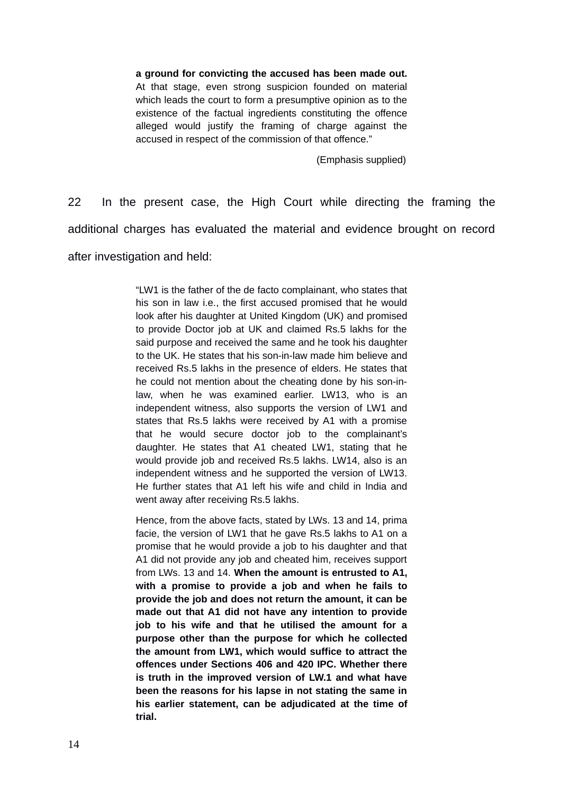**a ground for convicting the accused has been made out.** At that stage, even strong suspicion founded on material which leads the court to form a presumptive opinion as to the existence of the factual ingredients constituting the offence alleged would justify the framing of charge against the accused in respect of the commission of that offence."

(Emphasis supplied)

22 In the present case, the High Court while directing the framing the additional charges has evaluated the material and evidence brought on record after investigation and held:

> "LW1 is the father of the de facto complainant, who states that his son in law i.e., the first accused promised that he would look after his daughter at United Kingdom (UK) and promised to provide Doctor job at UK and claimed Rs.5 lakhs for the said purpose and received the same and he took his daughter to the UK. He states that his son-in-law made him believe and received Rs.5 lakhs in the presence of elders. He states that he could not mention about the cheating done by his son-inlaw, when he was examined earlier. LW13, who is an independent witness, also supports the version of LW1 and states that Rs.5 lakhs were received by A1 with a promise that he would secure doctor job to the complainant's daughter. He states that A1 cheated LW1, stating that he would provide job and received Rs.5 lakhs. LW14, also is an independent witness and he supported the version of LW13. He further states that A1 left his wife and child in India and went away after receiving Rs.5 lakhs.

> Hence, from the above facts, stated by LWs. 13 and 14, prima facie, the version of LW1 that he gave Rs.5 lakhs to A1 on a promise that he would provide a job to his daughter and that A1 did not provide any job and cheated him, receives support from LWs. 13 and 14. **When the amount is entrusted to A1, with a promise to provide a job and when he fails to provide the job and does not return the amount, it can be made out that A1 did not have any intention to provide job to his wife and that he utilised the amount for a purpose other than the purpose for which he collected the amount from LW1, which would suffice to attract the offences under Sections 406 and 420 IPC. Whether there is truth in the improved version of LW.1 and what have been the reasons for his lapse in not stating the same in his earlier statement, can be adjudicated at the time of trial.**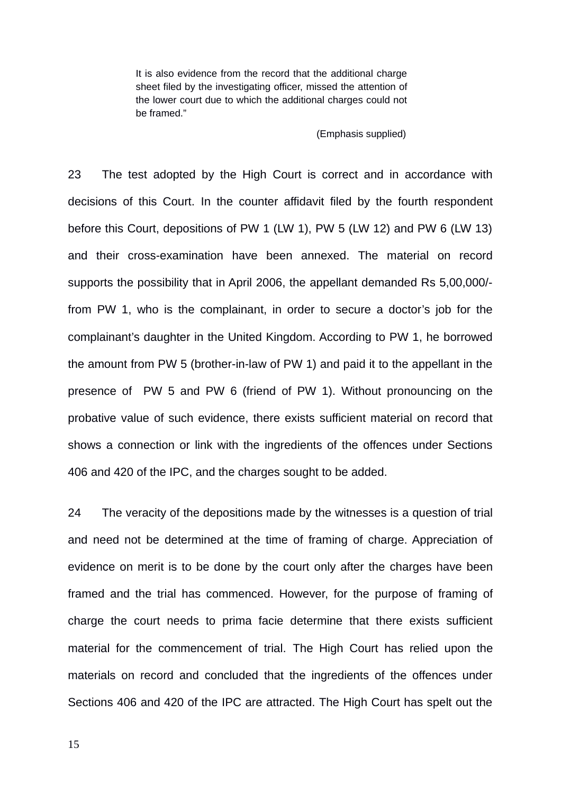It is also evidence from the record that the additional charge sheet filed by the investigating officer, missed the attention of the lower court due to which the additional charges could not be framed."

(Emphasis supplied)

23 The test adopted by the High Court is correct and in accordance with decisions of this Court. In the counter affidavit filed by the fourth respondent before this Court, depositions of PW 1 (LW 1), PW 5 (LW 12) and PW 6 (LW 13) and their cross-examination have been annexed. The material on record supports the possibility that in April 2006, the appellant demanded Rs 5,00,000/ from PW 1, who is the complainant, in order to secure a doctor's job for the complainant's daughter in the United Kingdom. According to PW 1, he borrowed the amount from PW 5 (brother-in-law of PW 1) and paid it to the appellant in the presence of PW 5 and PW 6 (friend of PW 1). Without pronouncing on the probative value of such evidence, there exists sufficient material on record that shows a connection or link with the ingredients of the offences under Sections 406 and 420 of the IPC, and the charges sought to be added.

24 The veracity of the depositions made by the witnesses is a question of trial and need not be determined at the time of framing of charge. Appreciation of evidence on merit is to be done by the court only after the charges have been framed and the trial has commenced. However, for the purpose of framing of charge the court needs to prima facie determine that there exists sufficient material for the commencement of trial. The High Court has relied upon the materials on record and concluded that the ingredients of the offences under Sections 406 and 420 of the IPC are attracted. The High Court has spelt out the

15